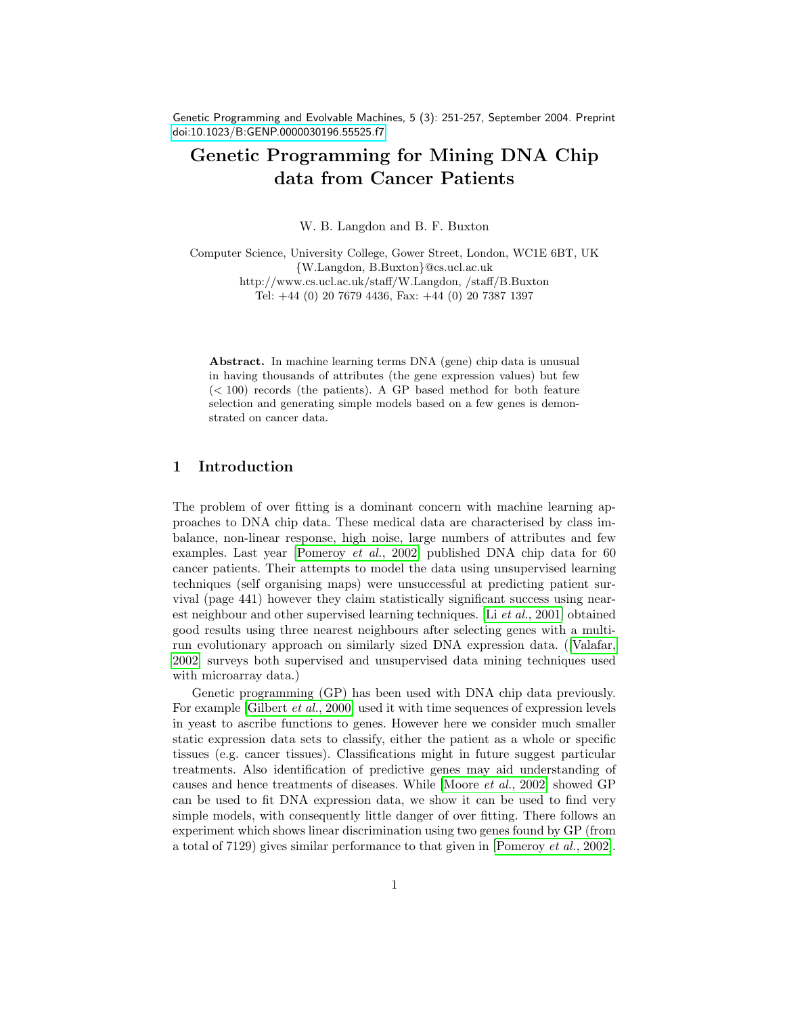Genetic Programming and Evolvable Machines, 5 (3): 251-257, September 2004. Preprint [doi:10.1023/B:GENP.0000030196.55525.f7](http://dx.doi.org/doi:10.1023/B:GENP.0000030196.55525.f7)

# Genetic Programming for Mining DNA Chip data from Cancer Patients

W. B. Langdon and B. F. Buxton

Computer Science, University College, Gower Street, London, WC1E 6BT, UK {W.Langdon, B.Buxton}@cs.ucl.ac.uk http://www.cs.ucl.ac.uk/staff/W.Langdon, /staff/B.Buxton Tel: +44 (0) 20 7679 4436, Fax: +44 (0) 20 7387 1397

Abstract. In machine learning terms DNA (gene) chip data is unusual in having thousands of attributes (the gene expression values) but few  $(< 100$ ) records (the patients). A GP based method for both feature selection and generating simple models based on a few genes is demonstrated on cancer data.

## 1 Introduction

The problem of over fitting is a dominant concern with machine learning approaches to DNA chip data. These medical data are characterised by class imbalance, non-linear response, high noise, large numbers of attributes and few examples. Last year [\[Pomeroy](#page-6-0) et al., 2002] published DNA chip data for 60 cancer patients. Their attempts to model the data using unsupervised learning techniques (self organising maps) were unsuccessful at predicting patient survival (page 441) however they claim statistically significant success using nearest neighbour and other supervised learning techniques. [Li et al.[, 2001\]](#page-6-1) obtained good results using three nearest neighbours after selecting genes with a multirun evolutionary approach on similarly sized DNA expression data. ([\[Valafar,](#page-7-0) [2002\]](#page-7-0) surveys both supervised and unsupervised data mining techniques used with microarray data.)

Genetic programming (GP) has been used with DNA chip data previously. For example [\[Gilbert](#page-6-2) et al., 2000] used it with time sequences of expression levels in yeast to ascribe functions to genes. However here we consider much smaller static expression data sets to classify, either the patient as a whole or specific tissues (e.g. cancer tissues). Classifications might in future suggest particular treatments. Also identification of predictive genes may aid understanding of causes and hence treatments of diseases. While [\[Moore](#page-6-3) et al., 2002] showed GP can be used to fit DNA expression data, we show it can be used to find very simple models, with consequently little danger of over fitting. There follows an experiment which shows linear discrimination using two genes found by GP (from a total of 7129) gives similar performance to that given in [\[Pomeroy](#page-6-0) et al., 2002].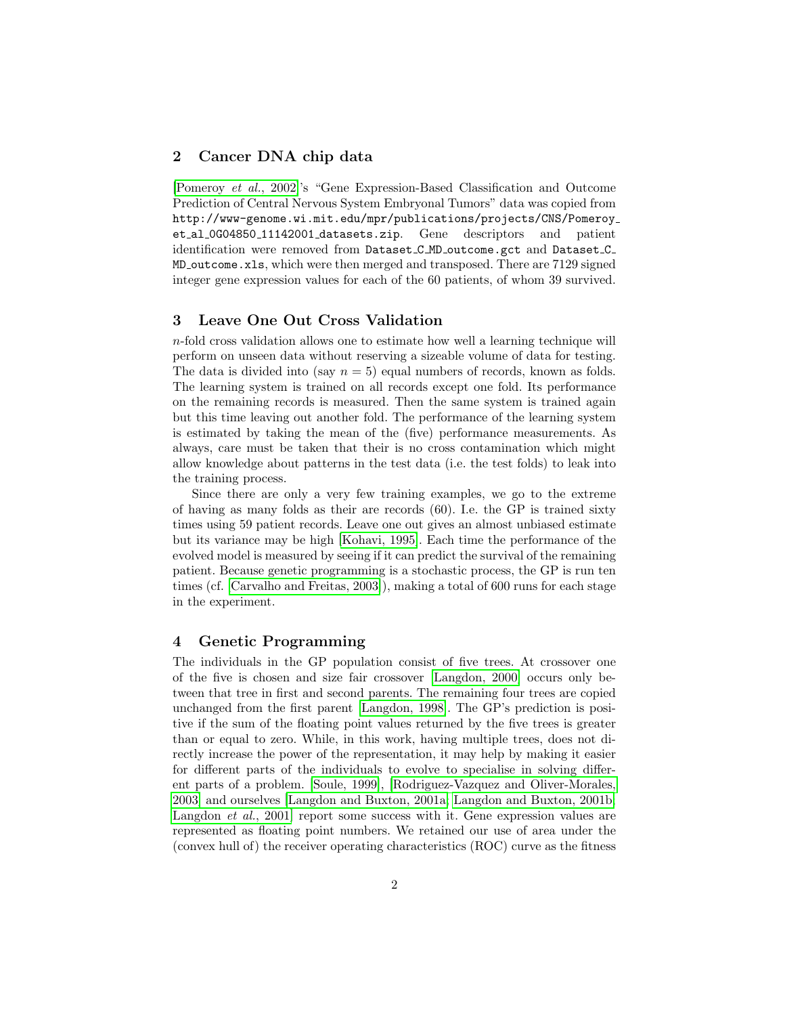# 2 Cancer DNA chip data

[\[Pomeroy](#page-6-0) et al., 2002]'s "Gene Expression-Based Classification and Outcome Prediction of Central Nervous System Embryonal Tumors" data was copied from http://www-genome.wi.mit.edu/mpr/publications/projects/CNS/Pomeroy et al 0G04850 11142001 datasets.zip. Gene descriptors and patient identification were removed from Dataset C MD outcome.gct and Dataset C MD outcome.xls, which were then merged and transposed. There are 7129 signed integer gene expression values for each of the 60 patients, of whom 39 survived.

# 3 Leave One Out Cross Validation

 $n$ -fold cross validation allows one to estimate how well a learning technique will perform on unseen data without reserving a sizeable volume of data for testing. The data is divided into (say  $n = 5$ ) equal numbers of records, known as folds. The learning system is trained on all records except one fold. Its performance on the remaining records is measured. Then the same system is trained again but this time leaving out another fold. The performance of the learning system is estimated by taking the mean of the (five) performance measurements. As always, care must be taken that their is no cross contamination which might allow knowledge about patterns in the test data (i.e. the test folds) to leak into the training process.

Since there are only a very few training examples, we go to the extreme of having as many folds as their are records (60). I.e. the GP is trained sixty times using 59 patient records. Leave one out gives an almost unbiased estimate but its variance may be high [\[Kohavi, 1995\]](#page-6-4). Each time the performance of the evolved model is measured by seeing if it can predict the survival of the remaining patient. Because genetic programming is a stochastic process, the GP is run ten times (cf. [\[Carvalho and Freitas, 2003\]](#page-6-5)), making a total of 600 runs for each stage in the experiment.

# 4 Genetic Programming

The individuals in the GP population consist of five trees. At crossover one of the five is chosen and size fair crossover [\[Langdon, 2000\]](#page-6-6) occurs only between that tree in first and second parents. The remaining four trees are copied unchanged from the first parent [\[Langdon, 1998\]](#page-6-7). The GP's prediction is positive if the sum of the floating point values returned by the five trees is greater than or equal to zero. While, in this work, having multiple trees, does not directly increase the power of the representation, it may help by making it easier for different parts of the individuals to evolve to specialise in solving different parts of a problem. [\[Soule, 1999\]](#page-7-1), [\[Rodriguez-Vazquez and Oliver-Morales,](#page-7-2) [2003\]](#page-7-2) and ourselves [\[Langdon and Buxton, 2001a;](#page-6-8) [Langdon and Buxton, 2001b;](#page-6-9) [Langdon](#page-6-10) *et al.*, 2001 report some success with it. Gene expression values are represented as floating point numbers. We retained our use of area under the (convex hull of) the receiver operating characteristics (ROC) curve as the fitness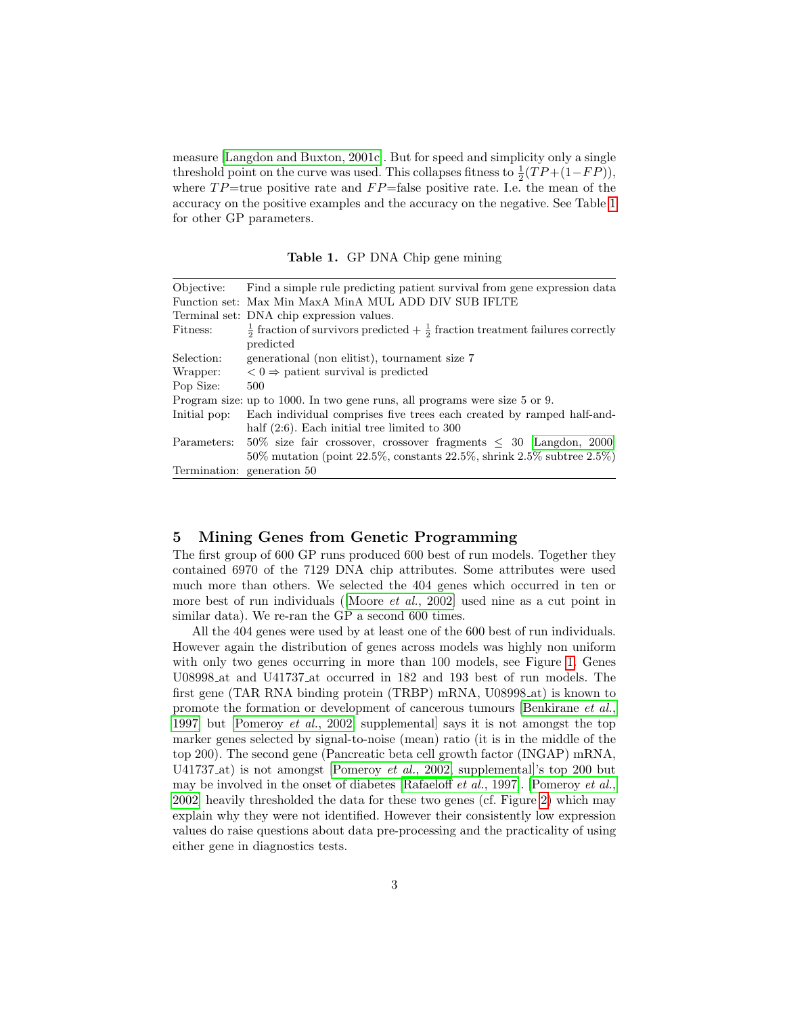measure [\[Langdon and Buxton, 2001c\]](#page-6-11). But for speed and simplicity only a single threshold point on the curve was used. This collapses fitness to  $\frac{1}{2}(TP+(1-FP)),$ where  $TP = true$  positive rate and  $FP = false$  positive rate. I.e. the mean of the accuracy on the positive examples and the accuracy on the negative. See Table [1](#page-2-0) for other GP parameters.

<span id="page-2-0"></span>Table 1. GP DNA Chip gene mining

| Objective:   | Find a simple rule predicting patient survival from gene expression data                           |
|--------------|----------------------------------------------------------------------------------------------------|
|              | Function set: Max Min MaxA MinA MUL ADD DIV SUB IFLTE                                              |
|              | Terminal set: DNA chip expression values.                                                          |
| Fitness:     | $\frac{1}{2}$ fraction of survivors predicted $+\frac{1}{2}$ fraction treatment failures correctly |
|              | predicted                                                                                          |
| Selection:   | generational (non elitist), tournament size 7                                                      |
| Wrapper:     | $\langle 0 \Rightarrow$ patient survival is predicted                                              |
| Pop Size:    | 500                                                                                                |
|              | Program size: up to 1000. In two gene runs, all programs were size 5 or 9.                         |
| Initial pop: | Each individual comprises five trees each created by ramped half-and-                              |
|              | half $(2.6)$ . Each initial tree limited to 300                                                    |
| Parameters:  | $50\%$ size fair crossover, crossover fragments $\leq 30$ [Langdon, 2000]                          |
|              | $50\%$ mutation (point $22.5\%$ , constants $22.5\%$ , shrink $2.5\%$ subtree $2.5\%$ )            |
|              | Termination: generation 50                                                                         |

#### 5 Mining Genes from Genetic Programming

The first group of 600 GP runs produced 600 best of run models. Together they contained 6970 of the 7129 DNA chip attributes. Some attributes were used much more than others. We selected the 404 genes which occurred in ten or more best of run individuals ([\[Moore](#page-6-3) et al., 2002] used nine as a cut point in similar data). We re-ran the GP a second 600 times.

All the 404 genes were used by at least one of the 600 best of run individuals. However again the distribution of genes across models was highly non uniform with only two genes occurring in more than 100 models, see Figure [1.](#page-3-0) Genes U08998 at and U41737 at occurred in 182 and 193 best of run models. The first gene (TAR RNA binding protein (TRBP) mRNA, U08998 at) is known to promote the formation or development of cancerous tumours [\[Benkirane](#page-6-12) et al., [1997\]](#page-6-12) but [\[Pomeroy](#page-6-0) et al., 2002, supplemental] says it is not amongst the top marker genes selected by signal-to-noise (mean) ratio (it is in the middle of the top 200). The second gene (Pancreatic beta cell growth factor (INGAP) mRNA, U41737\_at) is not amongst [\[Pomeroy](#page-6-0) *et al.*, 2002, supplemental]'s top 200 but may be involved in the onset of diabetes [\[Rafaeloff](#page-7-3) et al., 1997]. [\[Pomeroy](#page-6-0) et al., [2002\]](#page-6-0) heavily thresholded the data for these two genes (cf. Figure [2\)](#page-4-0) which may explain why they were not identified. However their consistently low expression values do raise questions about data pre-processing and the practicality of using either gene in diagnostics tests.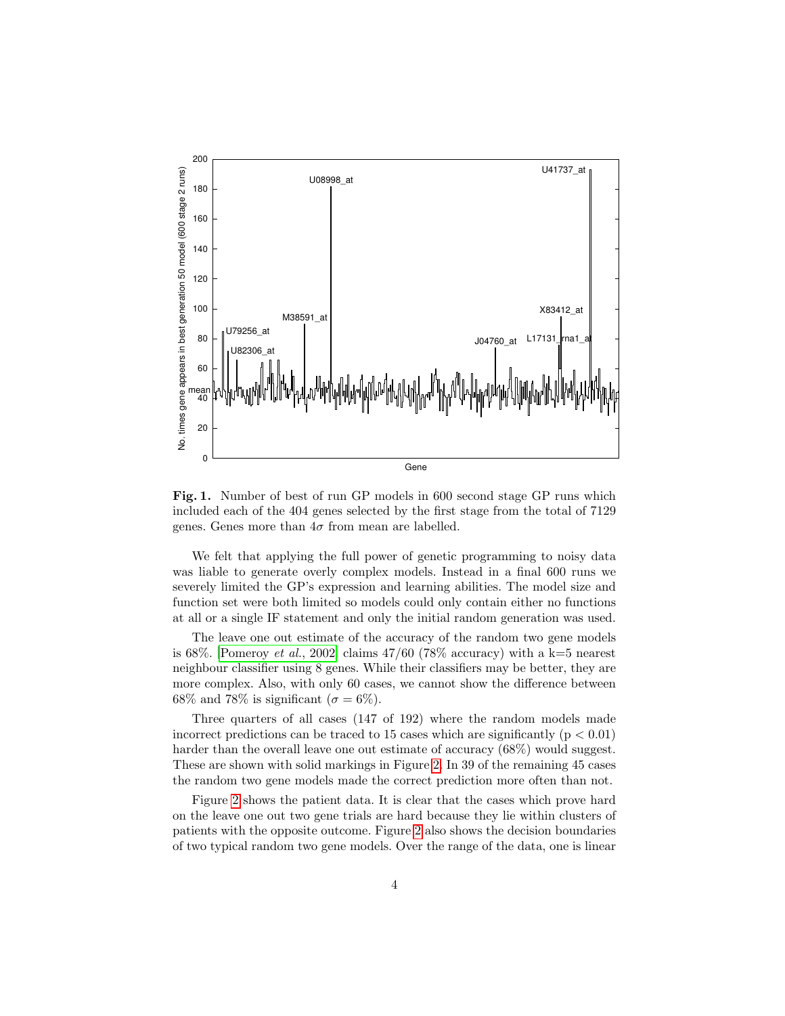

<span id="page-3-0"></span>Fig. 1. Number of best of run GP models in 600 second stage GP runs which included each of the 404 genes selected by the first stage from the total of 7129 genes. Genes more than  $4\sigma$  from mean are labelled.

We felt that applying the full power of genetic programming to noisy data was liable to generate overly complex models. Instead in a final 600 runs we severely limited the GP's expression and learning abilities. The model size and function set were both limited so models could only contain either no functions at all or a single IF statement and only the initial random generation was used.

The leave one out estimate of the accuracy of the random two gene models is 68%. [\[Pomeroy](#page-6-0) *et al.*, 2002] claims  $47/60$  (78% accuracy) with a k=5 nearest neighbour classifier using 8 genes. While their classifiers may be better, they are more complex. Also, with only 60 cases, we cannot show the difference between 68% and 78% is significant ( $\sigma = 6\%$ ).

Three quarters of all cases (147 of 192) where the random models made incorrect predictions can be traced to 15 cases which are significantly  $(p < 0.01)$ harder than the overall leave one out estimate of accuracy  $(68\%)$  would suggest. These are shown with solid markings in Figure [2.](#page-4-0) In 39 of the remaining 45 cases the random two gene models made the correct prediction more often than not.

Figure [2](#page-4-0) shows the patient data. It is clear that the cases which prove hard on the leave one out two gene trials are hard because they lie within clusters of patients with the opposite outcome. Figure [2](#page-4-0) also shows the decision boundaries of two typical random two gene models. Over the range of the data, one is linear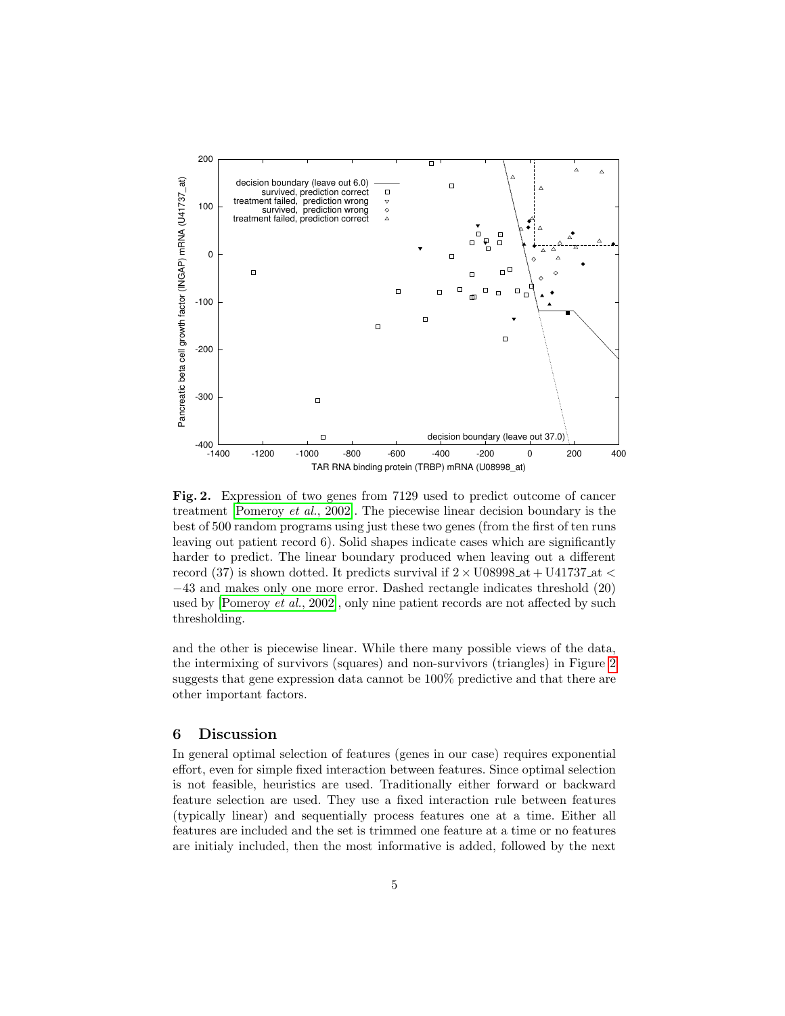

<span id="page-4-0"></span>Fig. 2. Expression of two genes from 7129 used to predict outcome of cancer treatment [\[Pomeroy](#page-6-0) et al., 2002]. The piecewise linear decision boundary is the best of 500 random programs using just these two genes (from the first of ten runs leaving out patient record 6). Solid shapes indicate cases which are significantly harder to predict. The linear boundary produced when leaving out a different record (37) is shown dotted. It predicts survival if  $2 \times U08998$  at  $+ U41737$  at  $<$ −43 and makes only one more error. Dashed rectangle indicates threshold (20) used by [\[Pomeroy](#page-6-0) *et al.*, 2002], only nine patient records are not affected by such thresholding.

and the other is piecewise linear. While there many possible views of the data, the intermixing of survivors (squares) and non-survivors (triangles) in Figure [2](#page-4-0) suggests that gene expression data cannot be 100% predictive and that there are other important factors.

### 6 Discussion

In general optimal selection of features (genes in our case) requires exponential effort, even for simple fixed interaction between features. Since optimal selection is not feasible, heuristics are used. Traditionally either forward or backward feature selection are used. They use a fixed interaction rule between features (typically linear) and sequentially process features one at a time. Either all features are included and the set is trimmed one feature at a time or no features are initialy included, then the most informative is added, followed by the next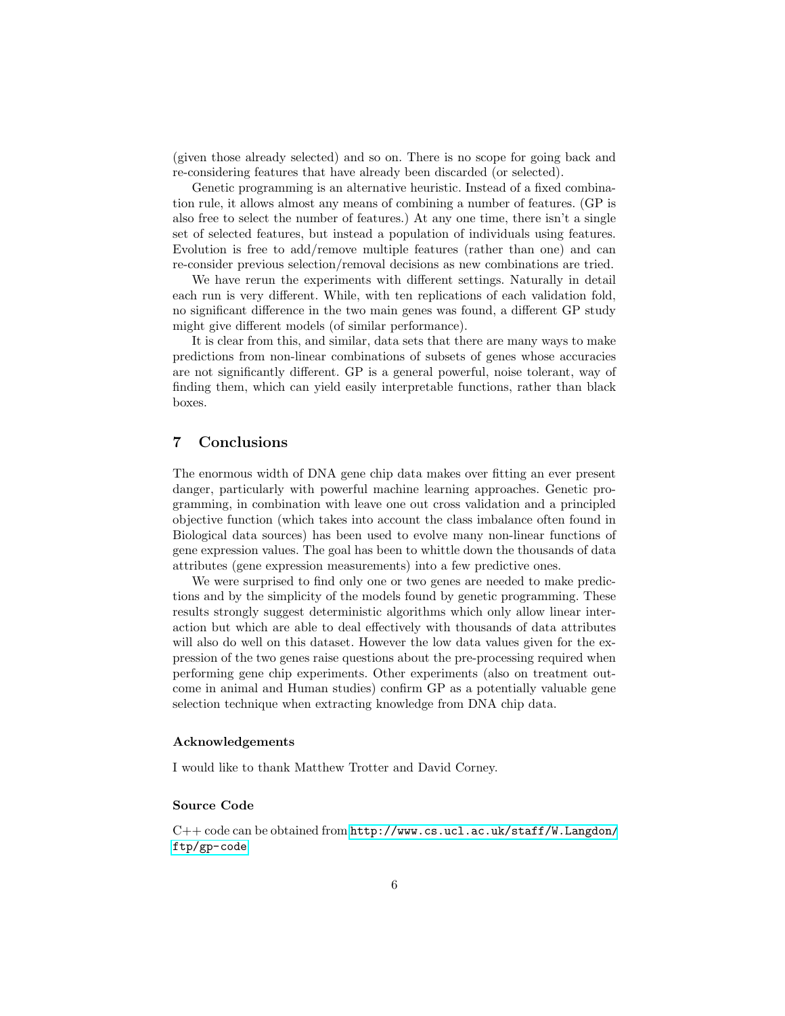(given those already selected) and so on. There is no scope for going back and re-considering features that have already been discarded (or selected).

Genetic programming is an alternative heuristic. Instead of a fixed combination rule, it allows almost any means of combining a number of features. (GP is also free to select the number of features.) At any one time, there isn't a single set of selected features, but instead a population of individuals using features. Evolution is free to add/remove multiple features (rather than one) and can re-consider previous selection/removal decisions as new combinations are tried.

We have rerun the experiments with different settings. Naturally in detail each run is very different. While, with ten replications of each validation fold, no significant difference in the two main genes was found, a different GP study might give different models (of similar performance).

It is clear from this, and similar, data sets that there are many ways to make predictions from non-linear combinations of subsets of genes whose accuracies are not significantly different. GP is a general powerful, noise tolerant, way of finding them, which can yield easily interpretable functions, rather than black boxes.

### 7 Conclusions

The enormous width of DNA gene chip data makes over fitting an ever present danger, particularly with powerful machine learning approaches. Genetic programming, in combination with leave one out cross validation and a principled objective function (which takes into account the class imbalance often found in Biological data sources) has been used to evolve many non-linear functions of gene expression values. The goal has been to whittle down the thousands of data attributes (gene expression measurements) into a few predictive ones.

We were surprised to find only one or two genes are needed to make predictions and by the simplicity of the models found by genetic programming. These results strongly suggest deterministic algorithms which only allow linear interaction but which are able to deal effectively with thousands of data attributes will also do well on this dataset. However the low data values given for the expression of the two genes raise questions about the pre-processing required when performing gene chip experiments. Other experiments (also on treatment outcome in animal and Human studies) confirm GP as a potentially valuable gene selection technique when extracting knowledge from DNA chip data.

#### Acknowledgements

I would like to thank Matthew Trotter and David Corney.

#### Source Code

C++ code can be obtained from [http://www.cs.ucl.ac.uk/staff/W.Langdon/](http://www.cs.ucl.ac.uk/staff/W.Langdon/ftp/gp-code) [ftp/gp-code](http://www.cs.ucl.ac.uk/staff/W.Langdon/ftp/gp-code)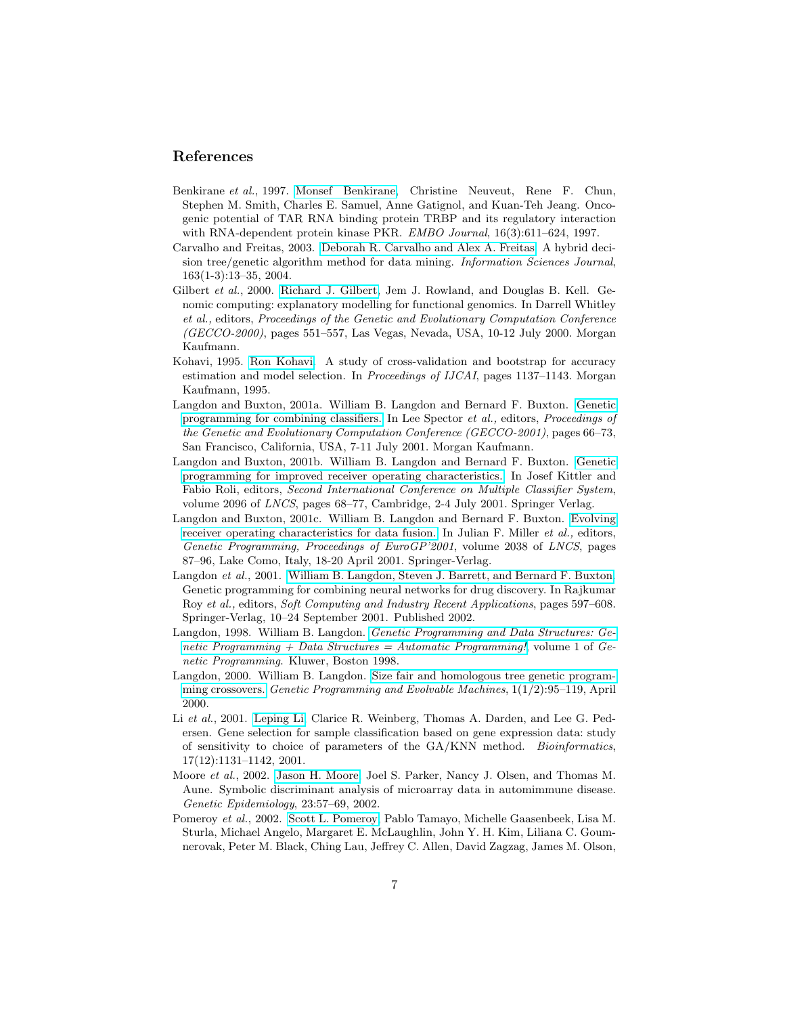#### References

- <span id="page-6-12"></span>Benkirane et al., 1997. [Monsef Benkirane,](http://doi.org/10.1093/emboj/16.3.611) Christine Neuveut, Rene F. Chun, Stephen M. Smith, Charles E. Samuel, Anne Gatignol, and Kuan-Teh Jeang. Oncogenic potential of TAR RNA binding protein TRBP and its regulatory interaction with RNA-dependent protein kinase PKR. EMBO Journal, 16(3):611-624, 1997.
- <span id="page-6-5"></span>Carvalho and Freitas, 2003. [Deborah R. Carvalho and Alex A. Freitas.](http://dx.doi.org/doi:10.1016/j.ins.2003.03.013) A hybrid decision tree/genetic algorithm method for data mining. Information Sciences Journal, 163(1-3):13–35, 2004.
- <span id="page-6-2"></span>Gilbert *et al.*, 2000. [Richard J. Gilbert,](http://gpbib.cs.ucl.ac.uk/gp-html/Kell_2000_GECCO.html) Jem J. Rowland, and Douglas B. Kell. Genomic computing: explanatory modelling for functional genomics. In Darrell Whitley et al., editors, Proceedings of the Genetic and Evolutionary Computation Conference (GECCO-2000), pages 551–557, Las Vegas, Nevada, USA, 10-12 July 2000. Morgan Kaufmann.
- <span id="page-6-4"></span>Kohavi, 1995. [Ron Kohavi.](https://www.ijcai.org/Proceedings/95-2/Papers/016.pdf) A study of cross-validation and bootstrap for accuracy estimation and model selection. In *Proceedings of IJCAI*, pages 1137–1143. Morgan Kaufmann, 1995.
- <span id="page-6-8"></span>Langdon and Buxton, 2001a. William B. Langdon and Bernard F. Buxton. [Genetic](http://www.cs.ucl.ac.uk/staff/W.Langdon/ftp/papers/WBL_gecco2001_roc.pdf) [programming for combining classifiers.](http://www.cs.ucl.ac.uk/staff/W.Langdon/ftp/papers/WBL_gecco2001_roc.pdf) In Lee Spector et al., editors, Proceedings of the Genetic and Evolutionary Computation Conference (GECCO-2001), pages 66–73, San Francisco, California, USA, 7-11 July 2001. Morgan Kaufmann.
- <span id="page-6-9"></span>Langdon and Buxton, 2001b. William B. Langdon and Bernard F. Buxton. [Genetic](http://www.cs.ucl.ac.uk/staff/W.Langdon/ftp/papers/wbl_mcs2001.pdf) [programming for improved receiver operating characteristics.](http://www.cs.ucl.ac.uk/staff/W.Langdon/ftp/papers/wbl_mcs2001.pdf) In Josef Kittler and Fabio Roli, editors, Second International Conference on Multiple Classifier System, volume 2096 of LNCS, pages 68–77, Cambridge, 2-4 July 2001. Springer Verlag.
- <span id="page-6-11"></span>Langdon and Buxton, 2001c. William B. Langdon and Bernard F. Buxton. [Evolving](http://www.cs.ucl.ac.uk/staff/W.Langdon/ftp/papers/wbl_egp2001.ps.gz) [receiver operating characteristics for data fusion.](http://www.cs.ucl.ac.uk/staff/W.Langdon/ftp/papers/wbl_egp2001.ps.gz) In Julian F. Miller *et al.*, editors, Genetic Programming, Proceedings of EuroGP'2001, volume 2038 of LNCS, pages 87–96, Lake Como, Italy, 18-20 April 2001. Springer-Verlag.
- <span id="page-6-10"></span>Langdon et al., 2001. [William B. Langdon, Steven J. Barrett, and Bernard F. Buxton.](http://doi.org/10.1007/978-1-4471-0123-9_51) Genetic programming for combining neural networks for drug discovery. In Rajkumar Roy et al., editors, Soft Computing and Industry Recent Applications, pages 597–608. Springer-Verlag, 10–24 September 2001. Published 2002.
- <span id="page-6-7"></span>Langdon, 1998. William B. Langdon. [Genetic Programming and Data Structures: Ge](http://dx.doi.org/doi:10.1007/978-1-4615-5731-9)[netic Programming + Data Structures = Automatic Programming!](http://dx.doi.org/doi:10.1007/978-1-4615-5731-9), volume 1 of  $Ge$ netic Programming. Kluwer, Boston 1998.
- <span id="page-6-6"></span>Langdon, 2000. William B. Langdon. [Size fair and homologous tree genetic program](http://www.cs.ucl.ac.uk/staff/W.Langdon/ftp/papers/WBL_fairxo.pdf)[ming crossovers.](http://www.cs.ucl.ac.uk/staff/W.Langdon/ftp/papers/WBL_fairxo.pdf) Genetic Programming and Evolvable Machines, 1(1/2):95–119, April 2000.
- <span id="page-6-1"></span>Li et al., 2001. [Leping Li,](http://dx.doi.org/10.1093/bioinformatics/17.12.1131) Clarice R. Weinberg, Thomas A. Darden, and Lee G. Pedersen. Gene selection for sample classification based on gene expression data: study of sensitivity to choice of parameters of the GA/KNN method. Bioinformatics, 17(12):1131–1142, 2001.
- <span id="page-6-3"></span>Moore et al., 2002. [Jason H. Moore,](http://gpbib.cs.ucl.ac.uk/gp-html/moore_2002_SDA.html) Joel S. Parker, Nancy J. Olsen, and Thomas M. Aune. Symbolic discriminant analysis of microarray data in automimmune disease. Genetic Epidemiology, 23:57–69, 2002.
- <span id="page-6-0"></span>Pomeroy et al., 2002. [Scott L. Pomeroy,](http://doi.org/10.1038/415436a) Pablo Tamayo, Michelle Gaasenbeek, Lisa M. Sturla, Michael Angelo, Margaret E. McLaughlin, John Y. H. Kim, Liliana C. Goumnerovak, Peter M. Black, Ching Lau, Jeffrey C. Allen, David Zagzag, James M. Olson,